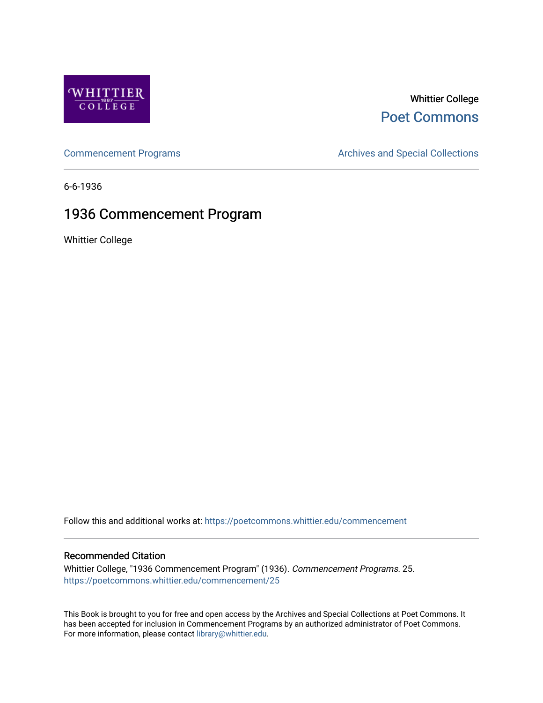

## Whittier College [Poet Commons](https://poetcommons.whittier.edu/)

[Commencement Programs](https://poetcommons.whittier.edu/commencement) **Archives and Special Collections** Archives and Special Collections

6-6-1936

# 1936 Commencement Program

Whittier College

Follow this and additional works at: [https://poetcommons.whittier.edu/commencement](https://poetcommons.whittier.edu/commencement?utm_source=poetcommons.whittier.edu%2Fcommencement%2F25&utm_medium=PDF&utm_campaign=PDFCoverPages) 

## Recommended Citation

Whittier College, "1936 Commencement Program" (1936). Commencement Programs. 25. [https://poetcommons.whittier.edu/commencement/25](https://poetcommons.whittier.edu/commencement/25?utm_source=poetcommons.whittier.edu%2Fcommencement%2F25&utm_medium=PDF&utm_campaign=PDFCoverPages)

This Book is brought to you for free and open access by the Archives and Special Collections at Poet Commons. It has been accepted for inclusion in Commencement Programs by an authorized administrator of Poet Commons. For more information, please contact [library@whittier.edu.](mailto:library@whittier.edu)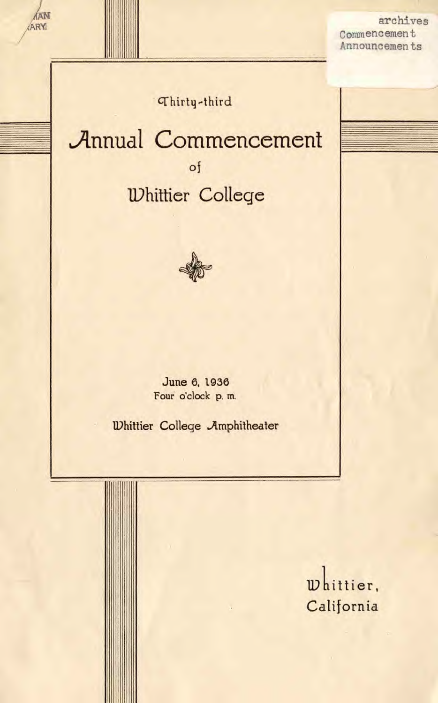archives Commencement Announcements

Thirty-third

**AAN** 

ARY

# **Annual Commencement** of **Whittier College**



June 6, 1936 Four o'clock p. m.

**Whittier College Amphitheater** 

whittier, California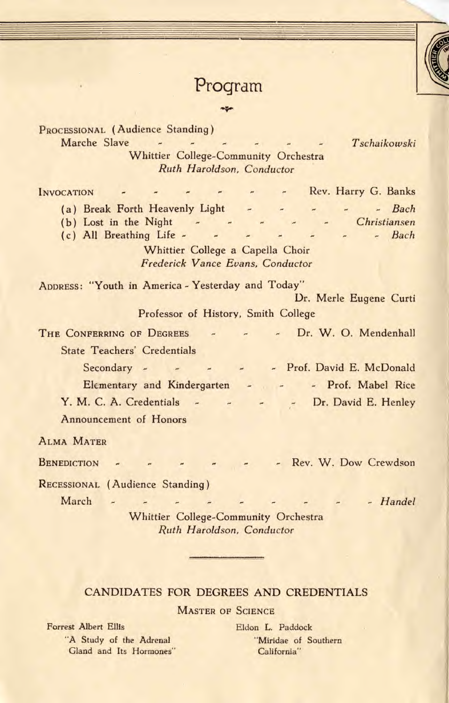## Program

PROCESSIONAL (Audience Standing) Marche Slave - - - - - - - Tschaikowski Whittier College-Community Orchestra Ruth Haroidson, Conductor INVOCATION - - - - - Rev, Harry G. Banks (a) Break Forth Heavenly Light  $\sim$   $\sim$   $\sim$  Bach<br>
(b) Lost in the Night  $\sim$   $\sim$   $\sim$  Christiansen (b) Lost in the Night<br>
(c) All Breathing Life - - - - - - - - - - - Bach  $(c)$  All Breathing Life -  $-$ Whittier College a Capella Choir Frederick Vance Evans, Conductor ADDRESS: "Youth in America - Yesterday and Today" Dr. Merle Eugene Curti Professor of History, Smith College THE CONFERRING OF DEGREES - - - Dr. W. O. Mendenhall State Teachers' Credentials Secondary - -- - Prof. David E. McDonald  $\overline{\phantom{a}}$ - Prof. Mabel Rice Elementary and Kindergarten Y. M. C. A. Credentials - - - -- Dr. David E. Henley Announcement of Honors ALMA MATER

BENEDICTION - - - - - - - Rev. W. Dow Crewdson

RECESSIONAL (Audience Standing)

March -

Whittier College-Community Orchestra Ruth Haroidson, Conductor

 $\sim$   $\sim$ 

 $\begin{array}{ccc} & \Delta & & \Delta \\ \end{array}$ 

### CANDIDATES FOR DEGREES AND CREDENTIALS

**MASTER OF SCIENCE** 

Forrest Albert Ellis Eldon L. Paddock "A Study of the Adrenal "Miridae of Southern Gland and Its Hormones" California"

- - Handel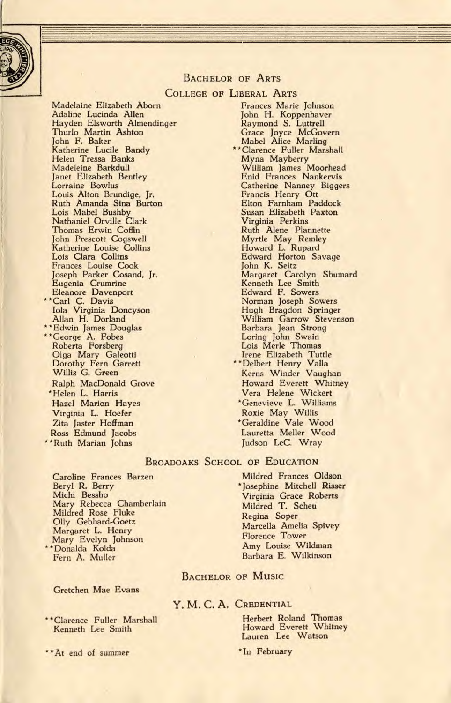

#### BACHELOR OF ARTS

#### COLLEGE OF LIBERAL ARTS

Madelaine Elizabeth Aborn Adaline Lucinda Allen Hayden Elsworth Almendinger Thurlo Martin Ashton John F. Baker Katherine Lucile Bandy Helen Tressa Banks Madeleine Barkdull Janet Elizabeth Bentley Lorraine Bowlus Louis Alton Brundige, Jr. Ruth Amanda Sina Burton Lois Mabel Bushby Nathaniel Orville Clark Thomas Erwin Coffin John Prescott Cogswell Katherine Louise Collins Lois Clara Collins Frances Louise Cook Joseph Parker Cosand, Jr. Eugenia Crumrine Eleanore Davenport \* \* Carl C. Davis Iola Virginia Doncyson Allan H. Dorland \*\* Edwin James Douglas Allan H. Dorland<br>\*\*Edwin James Doug<br>\*\*George A. Fobes<br>Roberta Forsberg Olga Mary Galeotti Dorothy Fern Garrett Willis G. Green Ralph MacDonald Grove \*Helen L. Harris Hazel Marion Hayes Virginia L. Hoefer Zita Jaster Hoffman Ross Edmund Jacobs \*\*RUth Marian Johns

Frances Marie Johnson John H. Koppenhaver Raymond S. Luttrell Grace Joyce McGovern Mabel Alice Marling \*\* Clarence Fuller Marshall Myna Mayberry William James Moorhead Enid Frances Nankervis Catherine Nanney Biggers Francis Henry Ott Elton Farnham Paddock Susan Elizabeth Paxton Virginia Perkins Ruth Alene Plannette Myrtle May Remley Howard L. Rupard Edward Horton Savage John K. Seitz Margaret Carolyn Shumard Kenneth Lee Smith Edward F. Sowers Norman Joseph Sowers Hugh Bragdon Springer William Garrow Stevenson Barbara Jean Strong Loring John Swain Lois Merle Thomas Irene Elizabeth Tuttle \*\*Delbert Henry Valla Kerns Winder Vaughan Howard Everett Whitney Vera Helene 'Wickert \*Genevieve L. Williams Roxie May Willis \*Geraldine Vale Wood Lauretta Meller Wood Judson LeC. Wray

#### BROADOAKS SCHOOL OF EDUCATION

Caroline Frances Barzen Beryl R. Berry Michi Bessho Mary Rebecca Chamberlain Mildred Rose Fluke Oily Gebhard-Goetz Margaret L. Henry Mary Evelyn Johnson \* \*Donalda Kolda

Fern A. Muller

Gretchen Mae Evans

\*\* Clarence Fuller Marshall Kenneth Lee Smith

\* \*At end of summer

Mildred Frances Oldson \*Josephine Mitchell Risser Virginia Grace Roberts Mildred T. Scheu Regina Soper Marcella Amelia Spivey Florence Tower Amy Louise Wildman Barbara E. Wilkinson

#### BACHELOR OF MUSIC

#### Y. M. C. A. CREDENTIAL

Herbert Roland Thomas Howard Everett Whitney Lauren Lee Watson

\*In February